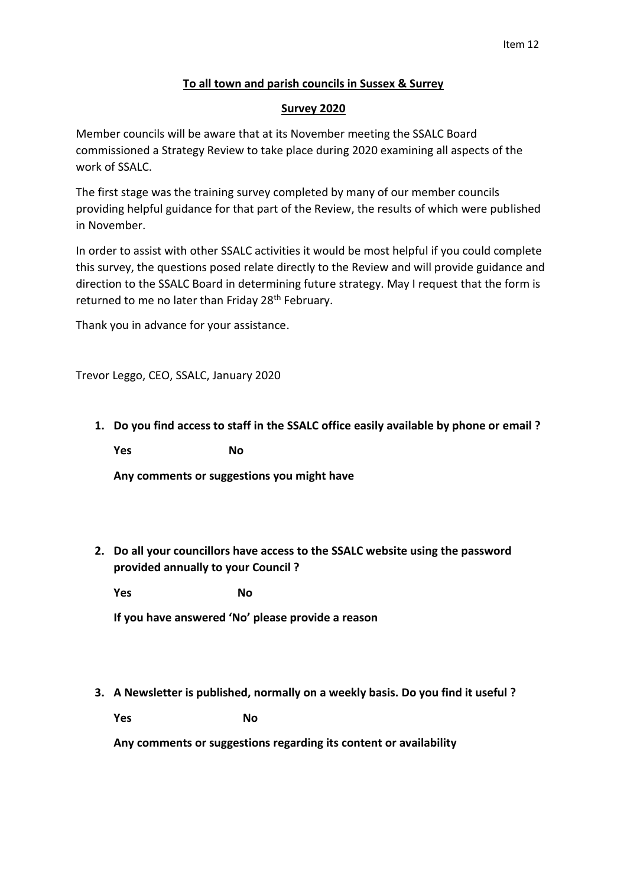## **To all town and parish councils in Sussex & Surrey**

## **Survey 2020**

Member councils will be aware that at its November meeting the SSALC Board commissioned a Strategy Review to take place during 2020 examining all aspects of the work of SSALC.

The first stage was the training survey completed by many of our member councils providing helpful guidance for that part of the Review, the results of which were published in November.

In order to assist with other SSALC activities it would be most helpful if you could complete this survey, the questions posed relate directly to the Review and will provide guidance and direction to the SSALC Board in determining future strategy. May I request that the form is returned to me no later than Friday 28<sup>th</sup> February.

Thank you in advance for your assistance.

Trevor Leggo, CEO, SSALC, January 2020

**1. Do you find access to staff in the SSALC office easily available by phone or email ?**

**Yes** No

**Any comments or suggestions you might have**

**2. Do all your councillors have access to the SSALC website using the password provided annually to your Council ?**

**Yes** No

**If you have answered 'No' please provide a reason**

**3. A Newsletter is published, normally on a weekly basis. Do you find it useful ?**

**Yes** No

**Any comments or suggestions regarding its content or availability**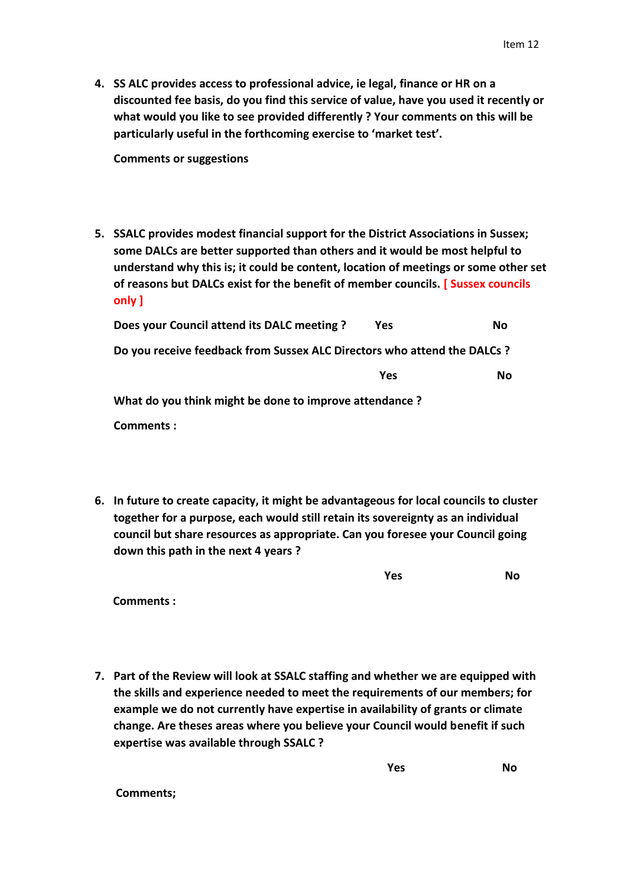**4. SS ALC provides access to professional advice, ie legal, finance or HR on a discounted fee basis, do you find this service of value, have you used it recently or what would you like to see provided differently ? Your comments on this will be particularly useful in the forthcoming exercise to 'market test'.**

**Comments or suggestions**

**5. SSALC provides modest financial support for the District Associations in Sussex; some DALCs are better supported than others and it would be most helpful to understand why this is; it could be content, location of meetings or some other set of reasons but DALCs exist for the benefit of member councils. [ Sussex councils only ]**

| Does your Council attend its DALC meeting ?                              | Yes | No        |
|--------------------------------------------------------------------------|-----|-----------|
| Do you receive feedback from Sussex ALC Directors who attend the DALCs ? |     |           |
|                                                                          | Yes | <b>No</b> |
| What do you think might be done to improve attendance?                   |     |           |
| Comments:                                                                |     |           |

**6. In future to create capacity, it might be advantageous for local councils to cluster together for a purpose, each would still retain its sovereignty as an individual council but share resources as appropriate. Can you foresee your Council going down this path in the next 4 years ?**

 **Comments :**

**7. Part of the Review will look at SSALC staffing and whether we are equipped with the skills and experience needed to meet the requirements of our members; for example we do not currently have expertise in availability of grants or climate change. Are theses areas where you believe your Council would benefit if such expertise was available through SSALC ?**

*No Yes* No

 **Comments;**